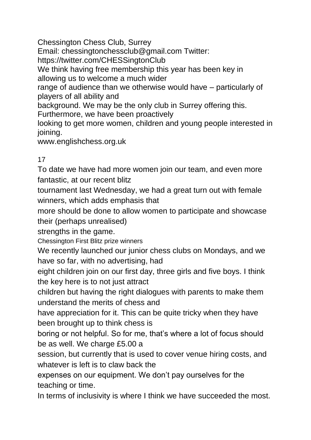Chessington Chess Club, Surrey Email: chessingtonchessclub@gmail.com Twitter: https://twitter.com/CHESSingtonClub We think having free membership this year has been key in allowing us to welcome a much wider range of audience than we otherwise would have – particularly of players of all ability and background. We may be the only club in Surrey offering this. Furthermore, we have been proactively looking to get more women, children and young people interested in joining. www.englishchess.org.uk

## 17

To date we have had more women join our team, and even more fantastic, at our recent blitz

tournament last Wednesday, we had a great turn out with female winners, which adds emphasis that

more should be done to allow women to participate and showcase their (perhaps unrealised)

strengths in the game.

Chessington First Blitz prize winners

We recently launched our junior chess clubs on Mondays, and we have so far, with no advertising, had

eight children join on our first day, three girls and five boys. I think the key here is to not just attract

children but having the right dialogues with parents to make them understand the merits of chess and

have appreciation for it. This can be quite tricky when they have been brought up to think chess is

boring or not helpful. So for me, that's where a lot of focus should be as well. We charge £5.00 a

session, but currently that is used to cover venue hiring costs, and whatever is left is to claw back the

expenses on our equipment. We don't pay ourselves for the teaching or time.

In terms of inclusivity is where I think we have succeeded the most.